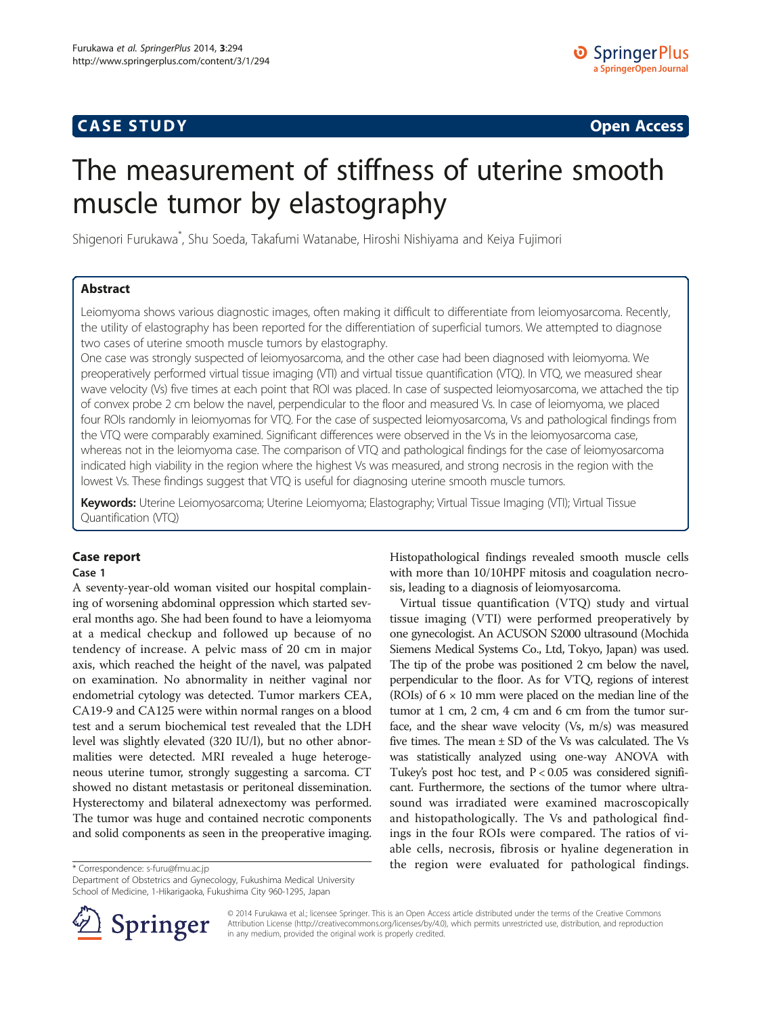## **CASE STUDY CASE STUDY Open Access**

# The measurement of stiffness of uterine smooth muscle tumor by elastography

Shigenori Furukawa\* , Shu Soeda, Takafumi Watanabe, Hiroshi Nishiyama and Keiya Fujimori

## Abstract

Leiomyoma shows various diagnostic images, often making it difficult to differentiate from leiomyosarcoma. Recently, the utility of elastography has been reported for the differentiation of superficial tumors. We attempted to diagnose two cases of uterine smooth muscle tumors by elastography.

One case was strongly suspected of leiomyosarcoma, and the other case had been diagnosed with leiomyoma. We preoperatively performed virtual tissue imaging (VTI) and virtual tissue quantification (VTQ). In VTQ, we measured shear wave velocity (Vs) five times at each point that ROI was placed. In case of suspected leiomyosarcoma, we attached the tip of convex probe 2 cm below the navel, perpendicular to the floor and measured Vs. In case of leiomyoma, we placed four ROIs randomly in leiomyomas for VTQ. For the case of suspected leiomyosarcoma, Vs and pathological findings from the VTQ were comparably examined. Significant differences were observed in the Vs in the leiomyosarcoma case, whereas not in the leiomyoma case. The comparison of VTQ and pathological findings for the case of leiomyosarcoma indicated high viability in the region where the highest Vs was measured, and strong necrosis in the region with the lowest Vs. These findings suggest that VTQ is useful for diagnosing uterine smooth muscle tumors.

Keywords: Uterine Leiomyosarcoma; Uterine Leiomyoma; Elastography; Virtual Tissue Imaging (VTI); Virtual Tissue Quantification (VTQ)

## Case report

### Case 1

A seventy-year-old woman visited our hospital complaining of worsening abdominal oppression which started several months ago. She had been found to have a leiomyoma at a medical checkup and followed up because of no tendency of increase. A pelvic mass of 20 cm in major axis, which reached the height of the navel, was palpated on examination. No abnormality in neither vaginal nor endometrial cytology was detected. Tumor markers CEA, CA19-9 and CA125 were within normal ranges on a blood test and a serum biochemical test revealed that the LDH level was slightly elevated (320 IU/l), but no other abnormalities were detected. MRI revealed a huge heterogeneous uterine tumor, strongly suggesting a sarcoma. CT showed no distant metastasis or peritoneal dissemination. Hysterectomy and bilateral adnexectomy was performed. The tumor was huge and contained necrotic components and solid components as seen in the preoperative imaging.

Histopathological findings revealed smooth muscle cells with more than 10/10HPF mitosis and coagulation necrosis, leading to a diagnosis of leiomyosarcoma.

Virtual tissue quantification (VTQ) study and virtual tissue imaging (VTI) were performed preoperatively by one gynecologist. An ACUSON S2000 ultrasound (Mochida Siemens Medical Systems Co., Ltd, Tokyo, Japan) was used. The tip of the probe was positioned 2 cm below the navel, perpendicular to the floor. As for VTQ, regions of interest (ROIs) of  $6 \times 10$  mm were placed on the median line of the tumor at 1 cm, 2 cm, 4 cm and 6 cm from the tumor surface, and the shear wave velocity (Vs, m/s) was measured five times. The mean ± SD of the Vs was calculated. The Vs was statistically analyzed using one-way ANOVA with Tukey's post hoc test, and  $P < 0.05$  was considered significant. Furthermore, the sections of the tumor where ultrasound was irradiated were examined macroscopically and histopathologically. The Vs and pathological findings in the four ROIs were compared. The ratios of viable cells, necrosis, fibrosis or hyaline degeneration in \*Correspondence: [s-furu@fmu.ac.jp](mailto:s-furu@fmu.ac.jp) **the region were evaluated for pathological findings.** 

Department of Obstetrics and Gynecology, Fukushima Medical University School of Medicine, 1-Hikarigaoka, Fukushima City 960-1295, Japan



© 2014 Furukawa et al.; licensee Springer. This is an Open Access article distributed under the terms of the Creative Commons Attribution License [\(http://creativecommons.org/licenses/by/4.0\)](http://creativecommons.org/licenses/by/4.0), which permits unrestricted use, distribution, and reproduction in any medium, provided the original work is properly credited.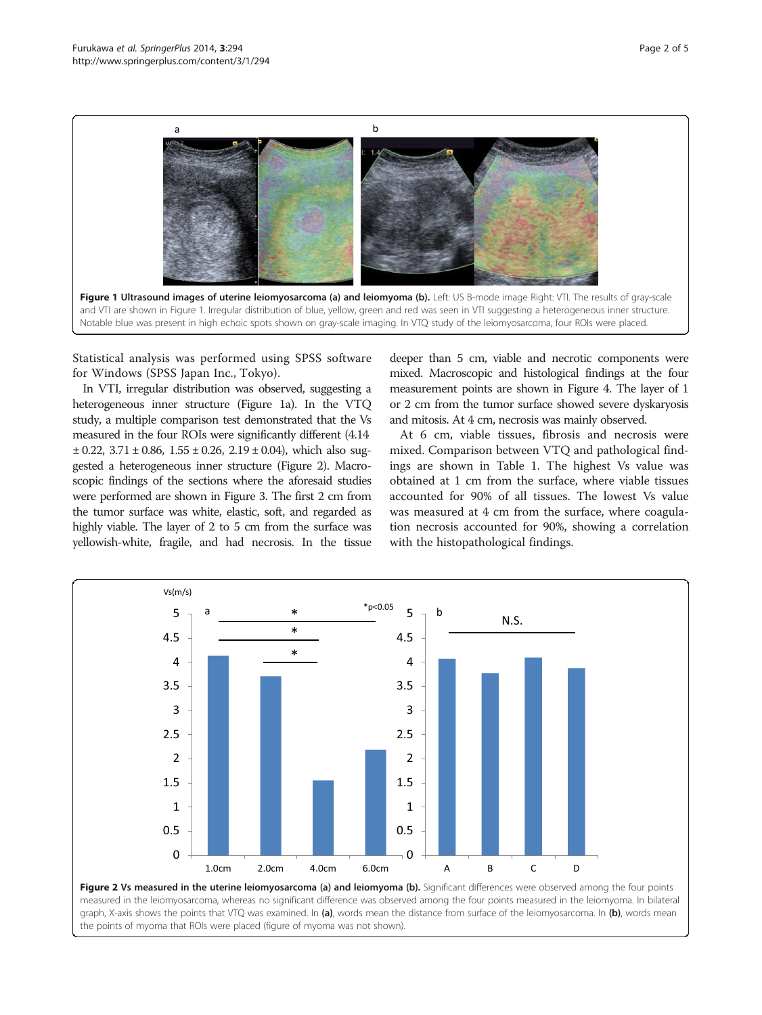<span id="page-1-0"></span>

Statistical analysis was performed using SPSS software for Windows (SPSS Japan Inc., Tokyo).

In VTI, irregular distribution was observed, suggesting a heterogeneous inner structure (Figure 1a). In the VTQ study, a multiple comparison test demonstrated that the Vs measured in the four ROIs were significantly different (4.14  $\pm$  0.22, 3.71  $\pm$  0.86, 1.55  $\pm$  0.26, 2.19  $\pm$  0.04), which also suggested a heterogeneous inner structure (Figure 2). Macroscopic findings of the sections where the aforesaid studies were performed are shown in Figure [3](#page-2-0). The first 2 cm from the tumor surface was white, elastic, soft, and regarded as highly viable. The layer of 2 to 5 cm from the surface was yellowish-white, fragile, and had necrosis. In the tissue

deeper than 5 cm, viable and necrotic components were mixed. Macroscopic and histological findings at the four measurement points are shown in Figure [4](#page-2-0). The layer of 1 or 2 cm from the tumor surface showed severe dyskaryosis and mitosis. At 4 cm, necrosis was mainly observed.

At 6 cm, viable tissues, fibrosis and necrosis were mixed. Comparison between VTQ and pathological findings are shown in Table [1](#page-3-0). The highest Vs value was obtained at 1 cm from the surface, where viable tissues accounted for 90% of all tissues. The lowest Vs value was measured at 4 cm from the surface, where coagulation necrosis accounted for 90%, showing a correlation with the histopathological findings.

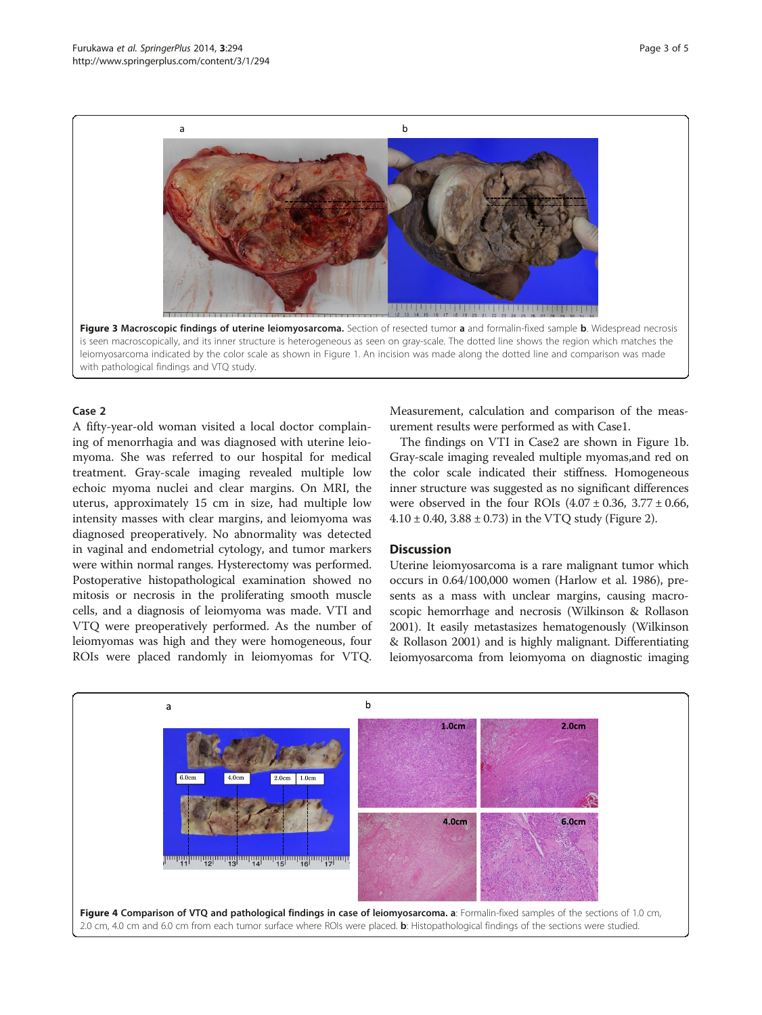<span id="page-2-0"></span>

## Case 2

A fifty-year-old woman visited a local doctor complaining of menorrhagia and was diagnosed with uterine leiomyoma. She was referred to our hospital for medical treatment. Gray-scale imaging revealed multiple low echoic myoma nuclei and clear margins. On MRI, the uterus, approximately 15 cm in size, had multiple low intensity masses with clear margins, and leiomyoma was diagnosed preoperatively. No abnormality was detected in vaginal and endometrial cytology, and tumor markers were within normal ranges. Hysterectomy was performed. Postoperative histopathological examination showed no mitosis or necrosis in the proliferating smooth muscle cells, and a diagnosis of leiomyoma was made. VTI and VTQ were preoperatively performed. As the number of leiomyomas was high and they were homogeneous, four ROIs were placed randomly in leiomyomas for VTQ.

Measurement, calculation and comparison of the measurement results were performed as with Case1.

The findings on VTI in Case2 are shown in Figure [1](#page-1-0)b. Gray-scale imaging revealed multiple myomas,and red on the color scale indicated their stiffness. Homogeneous inner structure was suggested as no significant differences were observed in the four ROIs  $(4.07 \pm 0.36, 3.77 \pm 0.66,$ 4.10 ± 0.40, 3.88 ± 0.73) in the VTQ study (Figure [2](#page-1-0)).

## **Discussion**

Uterine leiomyosarcoma is a rare malignant tumor which occurs in 0.64/100,000 women (Harlow et al. [1986](#page-4-0)), presents as a mass with unclear margins, causing macroscopic hemorrhage and necrosis (Wilkinson & Rollason [2001](#page-4-0)). It easily metastasizes hematogenously (Wilkinson & Rollason [2001](#page-4-0)) and is highly malignant. Differentiating leiomyosarcoma from leiomyoma on diagnostic imaging

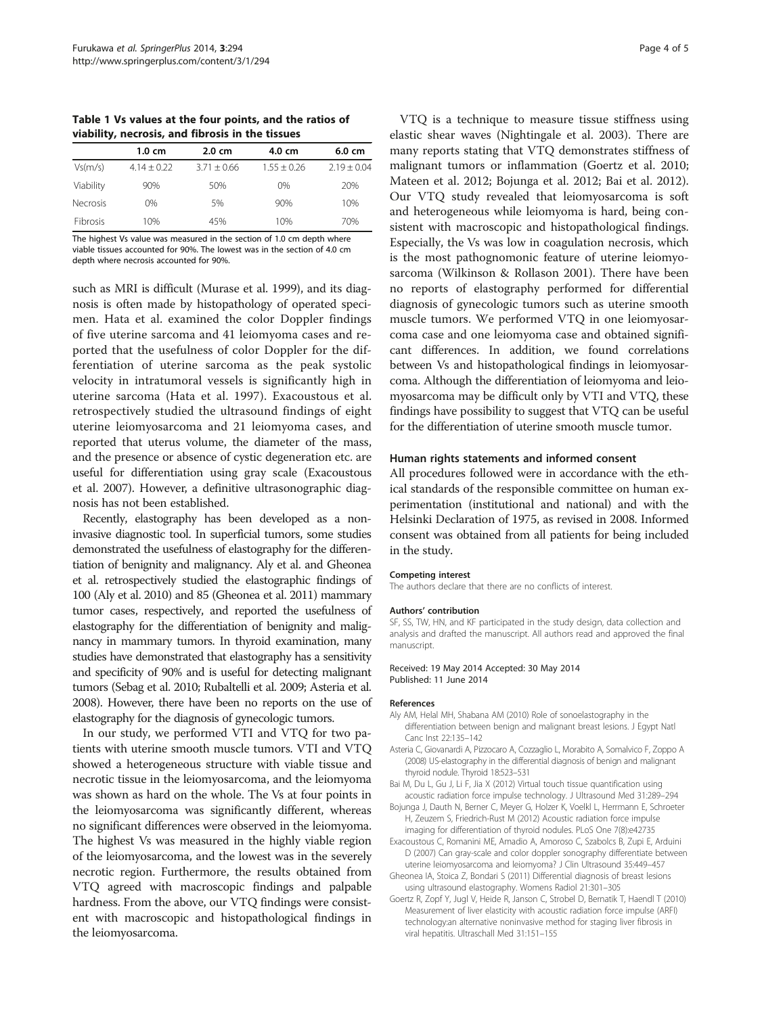<span id="page-3-0"></span>Table 1 Vs values at the four points, and the ratios of viability, necrosis, and fibrosis in the tissues

|                 | $1.0 \text{ cm}$ | $2.0 \text{ cm}$ | 4.0 cm        | $6.0 \text{ cm}$ |
|-----------------|------------------|------------------|---------------|------------------|
| Vs(m/s)         | $4.14 + 0.22$    | $3.71 + 0.66$    | $1.55 + 0.26$ | $2.19 + 0.04$    |
| Viability       | 90%              | 50%              | $0\%$         | 20%              |
| <b>Necrosis</b> | $0\%$            | 5%               | 90%           | 10%              |
| <b>Fibrosis</b> | 10%              | 45%              | 10%           | 70%              |

The highest Vs value was measured in the section of 1.0 cm depth where viable tissues accounted for 90%. The lowest was in the section of 4.0 cm depth where necrosis accounted for 90%.

such as MRI is difficult (Murase et al. [1999\)](#page-4-0), and its diagnosis is often made by histopathology of operated specimen. Hata et al. examined the color Doppler findings of five uterine sarcoma and 41 leiomyoma cases and reported that the usefulness of color Doppler for the differentiation of uterine sarcoma as the peak systolic velocity in intratumoral vessels is significantly high in uterine sarcoma (Hata et al. [1997](#page-4-0)). Exacoustous et al. retrospectively studied the ultrasound findings of eight uterine leiomyosarcoma and 21 leiomyoma cases, and reported that uterus volume, the diameter of the mass, and the presence or absence of cystic degeneration etc. are useful for differentiation using gray scale (Exacoustous et al. 2007). However, a definitive ultrasonographic diagnosis has not been established.

Recently, elastography has been developed as a noninvasive diagnostic tool. In superficial tumors, some studies demonstrated the usefulness of elastography for the differentiation of benignity and malignancy. Aly et al. and Gheonea et al. retrospectively studied the elastographic findings of 100 (Aly et al. 2010) and 85 (Gheonea et al. 2011) mammary tumor cases, respectively, and reported the usefulness of elastography for the differentiation of benignity and malignancy in mammary tumors. In thyroid examination, many studies have demonstrated that elastography has a sensitivity and specificity of 90% and is useful for detecting malignant tumors (Sebag et al. [2010;](#page-4-0) Rubaltelli et al. [2009;](#page-4-0) Asteria et al. 2008). However, there have been no reports on the use of elastography for the diagnosis of gynecologic tumors.

In our study, we performed VTI and VTQ for two patients with uterine smooth muscle tumors. VTI and VTQ showed a heterogeneous structure with viable tissue and necrotic tissue in the leiomyosarcoma, and the leiomyoma was shown as hard on the whole. The Vs at four points in the leiomyosarcoma was significantly different, whereas no significant differences were observed in the leiomyoma. The highest Vs was measured in the highly viable region of the leiomyosarcoma, and the lowest was in the severely necrotic region. Furthermore, the results obtained from VTQ agreed with macroscopic findings and palpable hardness. From the above, our VTQ findings were consistent with macroscopic and histopathological findings in the leiomyosarcoma.

VTQ is a technique to measure tissue stiffness using elastic shear waves (Nightingale et al. [2003\)](#page-4-0). There are many reports stating that VTQ demonstrates stiffness of malignant tumors or inflammation (Goertz et al. 2010; Mateen et al. [2012](#page-4-0); Bojunga et al. 2012; Bai et al. 2012). Our VTQ study revealed that leiomyosarcoma is soft and heterogeneous while leiomyoma is hard, being consistent with macroscopic and histopathological findings. Especially, the Vs was low in coagulation necrosis, which is the most pathognomonic feature of uterine leiomyosarcoma (Wilkinson & Rollason [2001](#page-4-0)). There have been no reports of elastography performed for differential diagnosis of gynecologic tumors such as uterine smooth muscle tumors. We performed VTQ in one leiomyosarcoma case and one leiomyoma case and obtained significant differences. In addition, we found correlations between Vs and histopathological findings in leiomyosarcoma. Although the differentiation of leiomyoma and leiomyosarcoma may be difficult only by VTI and VTQ, these findings have possibility to suggest that VTQ can be useful for the differentiation of uterine smooth muscle tumor.

#### Human rights statements and informed consent

All procedures followed were in accordance with the ethical standards of the responsible committee on human experimentation (institutional and national) and with the Helsinki Declaration of 1975, as revised in 2008. Informed consent was obtained from all patients for being included in the study.

#### Competing interest

The authors declare that there are no conflicts of interest.

#### Authors' contribution

SF, SS, TW, HN, and KF participated in the study design, data collection and analysis and drafted the manuscript. All authors read and approved the final manuscript.

Received: 19 May 2014 Accepted: 30 May 2014 Published: 11 June 2014

#### References

- Aly AM, Helal MH, Shabana AM (2010) Role of sonoelastography in the differentiation between benign and malignant breast lesions. J Egypt Natl Canc Inst 22:135–142
- Asteria C, Giovanardi A, Pizzocaro A, Cozzaglio L, Morabito A, Somalvico F, Zoppo A (2008) US-elastography in the differential diagnosis of benign and malignant thyroid nodule. Thyroid 18:523–531
- Bai M, Du L, Gu J, Li F, Jia X (2012) Virtual touch tissue quantification using acoustic radiation force impulse technology. J Ultrasound Med 31:289–294
- Bojunga J, Dauth N, Berner C, Meyer G, Holzer K, Voelkl L, Herrmann E, Schroeter H, Zeuzem S, Friedrich-Rust M (2012) Acoustic radiation force impulse
- imaging for differentiation of thyroid nodules. PLoS One 7(8):e42735 Exacoustous C, Romanini ME, Amadio A, Amoroso C, Szabolcs B, Zupi E, Arduini D (2007) Can gray-scale and color doppler sonography differentiate between uterine leiomyosarcoma and leiomyoma? J Clin Ultrasound 35:449–457
- Gheonea IA, Stoica Z, Bondari S (2011) Differential diagnosis of breast lesions using ultrasound elastography. Womens Radiol 21:301–305
- Goertz R, Zopf Y, Jugl V, Heide R, Janson C, Strobel D, Bernatik T, Haendl T (2010) Measurement of liver elasticity with acoustic radiation force impulse (ARFI) technology:an alternative noninvasive method for staging liver fibrosis in viral hepatitis. Ultraschall Med 31:151–155